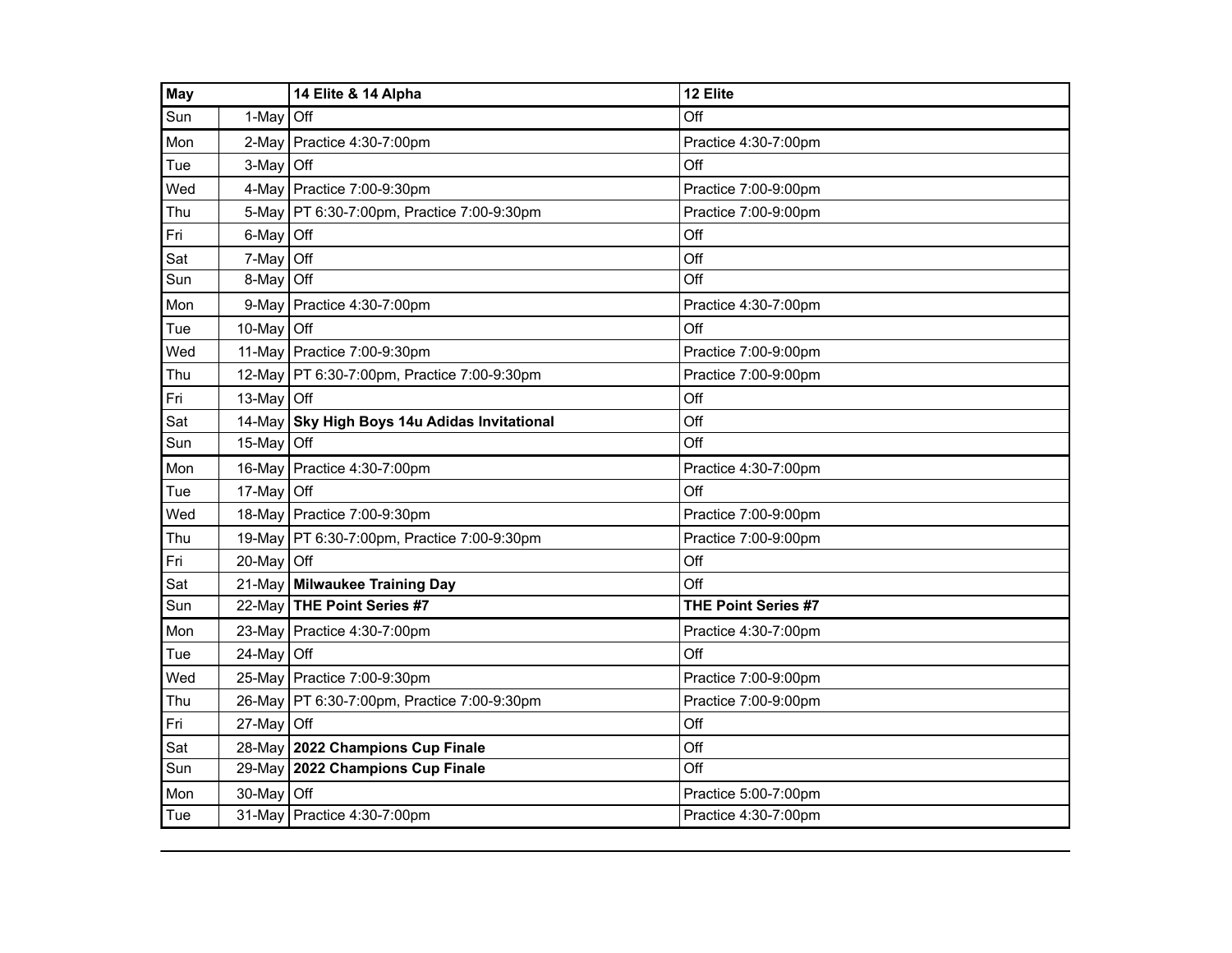| <b>May</b> |                                | 14 Elite & 14 Alpha                          | 12 Elite                   |
|------------|--------------------------------|----------------------------------------------|----------------------------|
| Sun        | 1-May                          | <b>Off</b>                                   | Off                        |
| Mon        | 2-Mav                          | Practice 4:30-7:00pm                         | Practice 4:30-7:00pm       |
| Tue        | 3-May                          | $\mathsf{I}$ Off                             | Off                        |
| Wed        |                                | 4-May Practice 7:00-9:30pm                   | Practice 7:00-9:00pm       |
| Thu        |                                | 5-May   PT 6:30-7:00pm, Practice 7:00-9:30pm | Practice 7:00-9:00pm       |
| Fri        | 6-May                          | Off                                          | Off                        |
| Sat        | 7-May                          | Off                                          | Off                        |
| Sun        | 8-May                          | Off                                          | Off                        |
| Mon        | 9-May                          | Practice 4:30-7:00pm                         | Practice 4:30-7:00pm       |
| Tue        | 10-May Off                     |                                              | Off                        |
| Wed        |                                | 11-May Practice 7:00-9:30pm                  | Practice 7:00-9:00pm       |
| Thu        | 12-May                         | PT 6:30-7:00pm, Practice 7:00-9:30pm         | Practice 7:00-9:00pm       |
| Fri        | 13-May $\overline{\text{Off}}$ |                                              | Off                        |
| Sat        | 14-May                         | Sky High Boys 14u Adidas Invitational        | Off                        |
| Sun        | 15-May                         | Off                                          | Off                        |
| Mon        | 16-May                         | Practice 4:30-7:00pm                         | Practice 4:30-7:00pm       |
| Tue        | 17-May Off                     |                                              | Off                        |
| Wed        |                                | 18-May Practice 7:00-9:30pm                  | Practice 7:00-9:00pm       |
| Thu        |                                | 19-May PT 6:30-7:00pm, Practice 7:00-9:30pm  | Practice 7:00-9:00pm       |
| Fri        | 20-May Off                     |                                              | Off                        |
| Sat        | 21-May                         | <b>Milwaukee Training Day</b>                | Off                        |
| Sun        | 22-May                         | THE Point Series #7                          | <b>THE Point Series #7</b> |
| Mon        |                                | 23-May   Practice 4:30-7:00pm                | Practice 4:30-7:00pm       |
| Tue        | 24-May Off                     |                                              | Off                        |
| Wed        | 25-May                         | Practice 7:00-9:30pm                         | Practice 7:00-9:00pm       |
| Thu        | 26-May                         | PT 6:30-7:00pm, Practice 7:00-9:30pm         | Practice 7:00-9:00pm       |
| Fri        | 27-May                         | <b>Off</b>                                   | Off                        |
| Sat        | 28-May                         | 2022 Champions Cup Finale                    | Off                        |
| Sun        | 29-May                         | 2022 Champions Cup Finale                    | Off                        |
| Mon        | 30-May                         | Off                                          | Practice 5:00-7:00pm       |
| Tue        |                                | 31-May Practice 4:30-7:00pm                  | Practice 4:30-7:00pm       |